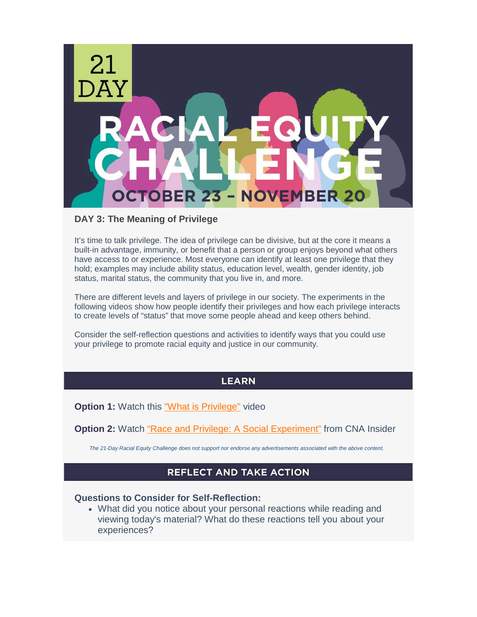

#### **DAY 3: The Meaning of Privilege**

It's time to talk privilege. The idea of privilege can be divisive, but at the core it means a built-in advantage, immunity, or benefit that a person or group enjoys beyond what others have access to or experience. Most everyone can identify at least one privilege that they hold; examples may include ability status, education level, wealth, gender identity, job status, marital status, the community that you live in, and more.

There are different levels and layers of privilege in our society. The experiments in the following videos show how people identify their privileges and how each privilege interacts to create levels of "status" that move some people ahead and keep others behind.

Consider the self-reflection questions and activities to identify ways that you could use your privilege to promote racial equity and justice in our community.

## **LEARN**

**Option 1:** Watch this ["What is Privilege"](https://guides.kirkwood.edu/privilege) video

**Option 2:** Watch ["Race and Privilege: A Social Experiment"](https://www.youtube.com/watch?v=F2hvibGdg4w) from CNA Insider

*The 21-Day Racial Equity Challenge does not support nor endorse any advertisements associated with the above content.* 

# **REFLECT AND TAKE ACTION**

### **Questions to Consider for Self-Reflection:**

• What did you notice about your personal reactions while reading and viewing today's material? What do these reactions tell you about your experiences?